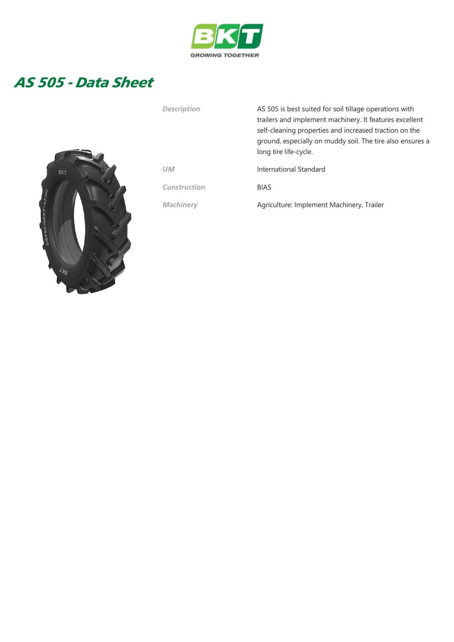

## AS 505 - Data Sheet



| Description  | AS 505 is best suited for soil tillage operations with<br>trailers and implement machinery. It features excellent<br>self-cleaning properties and increased traction on the<br>ground, especially on muddy soil. The tire also ensures a<br>long tire life-cycle. |  |  |  |  |  |
|--------------|-------------------------------------------------------------------------------------------------------------------------------------------------------------------------------------------------------------------------------------------------------------------|--|--|--|--|--|
| UМ           | International Standard                                                                                                                                                                                                                                            |  |  |  |  |  |
| Construction | <b>BIAS</b>                                                                                                                                                                                                                                                       |  |  |  |  |  |
| Machinery    | Agriculture: Implement Machinery, Trailer                                                                                                                                                                                                                         |  |  |  |  |  |
|              |                                                                                                                                                                                                                                                                   |  |  |  |  |  |